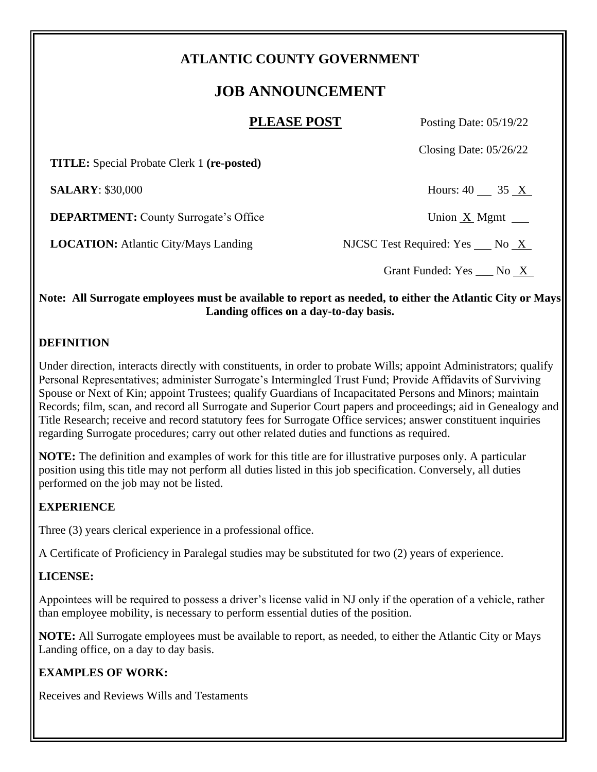# **ATLANTIC COUNTY GOVERNMENT**

# **JOB ANNOUNCEMENT**

**PLEASE POST** Posting Date: 05/19/22

Closing Date: 05/26/22

 **TITLE:** Special Probate Clerk 1 **(re-posted)**

**SALARY**: \$30,000 Hours: 40 35 X

**DEPARTMENT:** County Surrogate's Office Union X Mgmt

**LOCATION:** Atlantic City/Mays Landing NJCSC Test Required: Yes No X

Grant Funded: Yes \_\_\_ No \_X\_

#### **Note: All Surrogate employees must be available to report as needed, to either the Atlantic City or Mays Landing offices on a day-to-day basis.**

#### **DEFINITION**

Under direction, interacts directly with constituents, in order to probate Wills; appoint Administrators; qualify Personal Representatives; administer Surrogate's Intermingled Trust Fund; Provide Affidavits of Surviving Spouse or Next of Kin; appoint Trustees; qualify Guardians of Incapacitated Persons and Minors; maintain Records; film, scan, and record all Surrogate and Superior Court papers and proceedings; aid in Genealogy and Title Research; receive and record statutory fees for Surrogate Office services; answer constituent inquiries regarding Surrogate procedures; carry out other related duties and functions as required.

**NOTE:** The definition and examples of work for this title are for illustrative purposes only. A particular position using this title may not perform all duties listed in this job specification. Conversely, all duties performed on the job may not be listed.

### **EXPERIENCE**

Three (3) years clerical experience in a professional office.

A Certificate of Proficiency in Paralegal studies may be substituted for two (2) years of experience.

### **LICENSE:**

Appointees will be required to possess a driver's license valid in NJ only if the operation of a vehicle, rather than employee mobility, is necessary to perform essential duties of the position.

**NOTE:** All Surrogate employees must be available to report, as needed, to either the Atlantic City or Mays Landing office, on a day to day basis.

## **EXAMPLES OF WORK:**

Receives and Reviews Wills and Testaments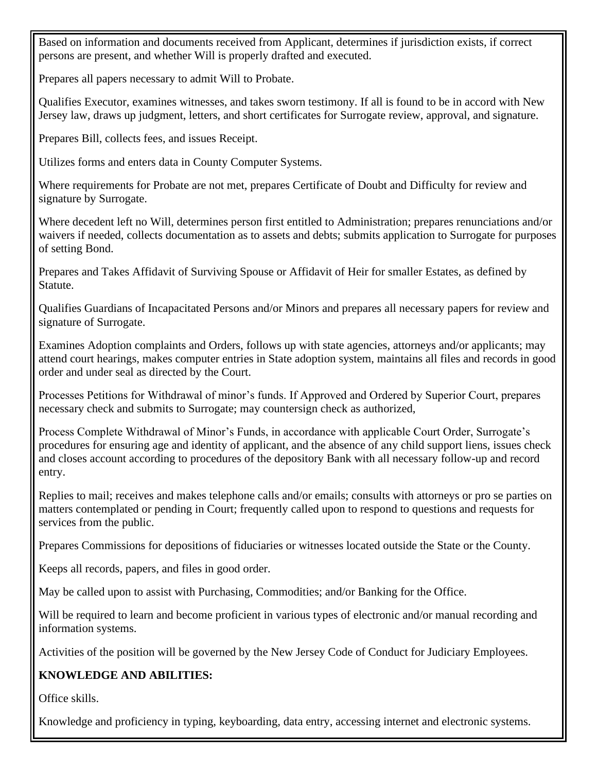Based on information and documents received from Applicant, determines if jurisdiction exists, if correct persons are present, and whether Will is properly drafted and executed.

Prepares all papers necessary to admit Will to Probate.

Qualifies Executor, examines witnesses, and takes sworn testimony. If all is found to be in accord with New Jersey law, draws up judgment, letters, and short certificates for Surrogate review, approval, and signature.

Prepares Bill, collects fees, and issues Receipt.

Utilizes forms and enters data in County Computer Systems.

Where requirements for Probate are not met, prepares Certificate of Doubt and Difficulty for review and signature by Surrogate.

Where decedent left no Will, determines person first entitled to Administration; prepares renunciations and/or waivers if needed, collects documentation as to assets and debts; submits application to Surrogate for purposes of setting Bond.

Prepares and Takes Affidavit of Surviving Spouse or Affidavit of Heir for smaller Estates, as defined by Statute.

Qualifies Guardians of Incapacitated Persons and/or Minors and prepares all necessary papers for review and signature of Surrogate.

Examines Adoption complaints and Orders, follows up with state agencies, attorneys and/or applicants; may attend court hearings, makes computer entries in State adoption system, maintains all files and records in good order and under seal as directed by the Court.

Processes Petitions for Withdrawal of minor's funds. If Approved and Ordered by Superior Court, prepares necessary check and submits to Surrogate; may countersign check as authorized,

Process Complete Withdrawal of Minor's Funds, in accordance with applicable Court Order, Surrogate's procedures for ensuring age and identity of applicant, and the absence of any child support liens, issues check and closes account according to procedures of the depository Bank with all necessary follow-up and record entry.

Replies to mail; receives and makes telephone calls and/or emails; consults with attorneys or pro se parties on matters contemplated or pending in Court; frequently called upon to respond to questions and requests for services from the public.

Prepares Commissions for depositions of fiduciaries or witnesses located outside the State or the County.

Keeps all records, papers, and files in good order.

May be called upon to assist with Purchasing, Commodities; and/or Banking for the Office.

Will be required to learn and become proficient in various types of electronic and/or manual recording and information systems.

Activities of the position will be governed by the New Jersey Code of Conduct for Judiciary Employees.

### **KNOWLEDGE AND ABILITIES:**

Office skills.

Knowledge and proficiency in typing, keyboarding, data entry, accessing internet and electronic systems.